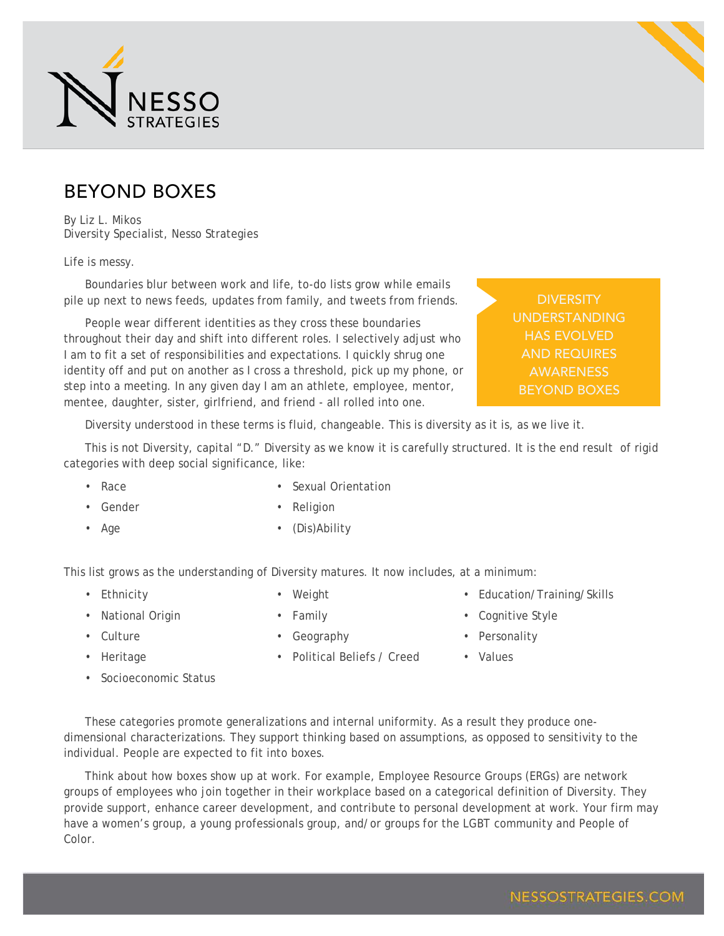

## BEYOND BOXES

By Liz L. Mikos Diversity Specialist, Nesso Strategies

Life is messy.

Boundaries blur between work and life, to-do lists grow while emails pile up next to news feeds, updates from family, and tweets from friends.

People wear different identities as they cross these boundaries throughout their day and shift into different roles. I selectively adjust who I am to fit a set of responsibilities and expectations. I quickly shrug one identity off and put on another as I cross a threshold, pick up my phone, or step into a meeting. In any given day I am an athlete, employee, mentor, mentee, daughter, sister, girlfriend, and friend - all rolled into one.

**DIVERSITY** UNDERSTANDING HAS EVOLVED **AWARENESS** BEYOND BOXES

Diversity understood in these terms is fluid, changeable. This is diversity as it is, as we live it.

This is not Diversity, capital "D." Diversity as we know it is carefully structured. It is the end result of rigid categories with deep social significance, like:

• Race

• Sexual Orientation

• Gender

• Age

- **Religion**
- (Dis)Ability

This list grows as the understanding of Diversity matures. It now includes, at a minimum:

• Ethnicity

- Weight
- National Origin
- Family
- - Geography
- Education/Training/Skills
- Cognitive Style
- Personality

• Values

- Culture • Heritage
- Socioeconomic Status
- Political Beliefs / Creed
- These categories promote generalizations and internal uniformity. As a result they produce onedimensional characterizations. They support thinking based on assumptions, as opposed to sensitivity to the

individual. People are expected to fit into boxes. Think about how boxes show up at work. For example, Employee Resource Groups (ERGs) are network groups of employees who join together in their workplace based on a categorical definition of Diversity. They provide support, enhance career development, and contribute to personal development at work. Your firm may have a women's group, a young professionals group, and/or groups for the LGBT community and People of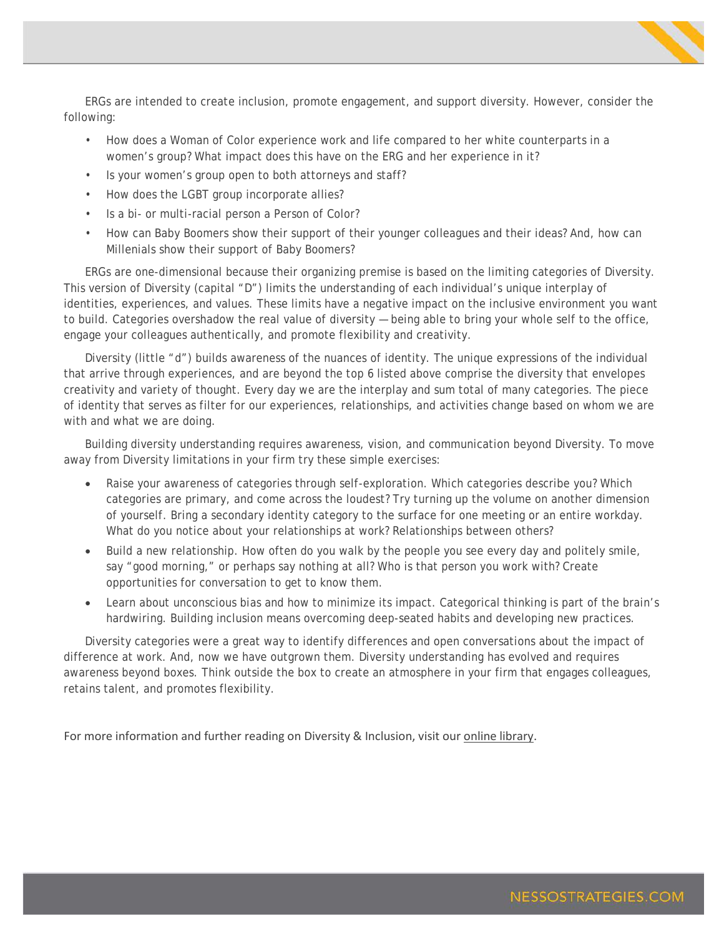ERGs are intended to create inclusion, promote engagement, and support diversity. However, consider the following:

- How does a Woman of Color experience work and life compared to her white counterparts in a women's group? What impact does this have on the ERG and her experience in it?
- Is your women's group open to both attorneys and staff?
- How does the LGBT group incorporate allies?
- Is a bi- or multi-racial person a Person of Color?
- How can Baby Boomers show their support of their younger colleagues and their ideas? And, how can Millenials show their support of Baby Boomers?

ERGs are one-dimensional because their organizing premise is based on the limiting categories of Diversity. This version of Diversity (capital "D") limits the understanding of each individual's unique interplay of identities, experiences, and values. These limits have a negative impact on the inclusive environment you want to build. Categories overshadow the real value of diversity — being able to bring your whole self to the office, engage your colleagues authentically, and promote flexibility and creativity.

Diversity (little "d") builds awareness of the nuances of identity. The unique expressions of the individual that arrive through experiences, and are beyond the top 6 listed above comprise the diversity that envelopes creativity and variety of thought. Every day we are the interplay and sum total of many categories. The piece of identity that serves as filter for our experiences, relationships, and activities change based on whom we are with and what we are doing.

Building diversity understanding requires awareness, vision, and communication beyond Diversity. To move away from Diversity limitations in your firm try these simple exercises:

- Raise your awareness of categories through self-exploration. Which categories describe you? Which categories are primary, and come across the loudest? Try turning up the volume on another dimension of yourself. Bring a secondary identity category to the surface for one meeting or an entire workday. What do you notice about your relationships at work? Relationships between others?
- Build a new relationship. How often do you walk by the people you see every day and politely smile, say "good morning," or perhaps say nothing at all? Who is that person you work with? Create opportunities for conversation to get to know them.
- Learn about unconscious bias and how to minimize its impact. Categorical thinking is part of the brain's hardwiring. Building inclusion means overcoming deep-seated habits and developing new practices.

Diversity categories were a great way to identify differences and open conversations about the impact of difference at work. And, now we have outgrown them. Diversity understanding has evolved and requires awareness beyond boxes. Think outside the box to create an atmosphere in your firm that engages colleagues, retains talent, and promotes flexibility.

For more information and further reading on Diversity & Inclusion, visit our [online library.](http://www.nessostrategies.com/resources/library/)